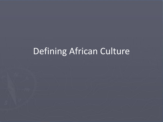# Defining African Culture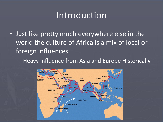### Introduction

• Just like pretty much everywhere else in the world the culture of Africa is a mix of local or foreign influences

– Heavy influence from Asia and Europe Historically

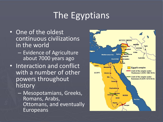# The Egyptians

- One of the oldest continuous civilizations in the world
	- Evidence of Agriculture about 7000 years ago
- Interaction and conflict with a number of other powers throughout history
	- Mesopotamians, Greeks, Romans, Arabs, Ottomans, and eventually Europeans

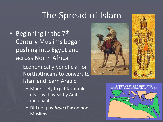# The Spread of Islam

- Beginning in the  $7<sup>th</sup>$ Century Muslims began pushing into Egypt and across North Africa
	- Economically beneficial for North Africans to convert to Islam and learn Arabic
		- More likely to get favorable deals with wealthy Arab merchants
		- Did not pay *Jizya* (Tax on non-Muslims)

![](_page_3_Picture_5.jpeg)

![](_page_3_Picture_6.jpeg)

Muslim Expansion in North Africa under the Umayyad Dynasty, 661-750 CE

![](_page_3_Figure_8.jpeg)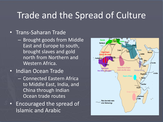### Trade and the Spread of Culture

### • Trans-Saharan Trade

- Brought goods from Middle East and Europe to south, brought slaves and gold north from Northern and Western Africa.
- Indian Ocean Trade
	- Connected Eastern Africa to Middle East, India, and China through Indian Ocean trade routes
- Encouraged the spread of Islamic and Arabic

![](_page_4_Figure_6.jpeg)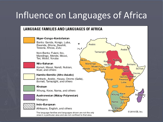# Influence on Languages of Africa

4

٠.

### LANGUAGE FAMILIES AND LANGUAGES OF AFRICA

![](_page_5_Figure_2.jpeg)

Bantu: Ganda, Kongo, Luba, Rwanda, Shona, Swahili, Tswana, Xhosa, Zulu

Non-Bantu: Fulani, Ibo. Mandingo, Mende, Mossi, Twi, Wolof, Yoruba

#### Nilo-Saharan

Kanuri, Masai, Nandi, Nubian, Nuer, and others

### Hamito-Semitic (Afro-Asiatic)

Amharic, Arabic, Hausa, Oromo (Galla), Somali, Tamazight, and others

#### Khoisan

!Khung, Kxoe, Nama, and others

![](_page_5_Picture_11.jpeg)

### Malagasy

### Indo-European

Afrikaans, English, and others

The language families and languages shown are not the only ones in a particular area and are not confined to that area.

![](_page_5_Figure_17.jpeg)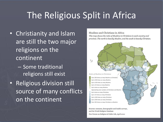## The Religious Split in Africa

- Christianity and Islam are still the two major religions on the continent
	- Some traditional religions still exist
- Religious division still source of many conflicts on the continent

#### Muslims and Christians in Africa

This map shows the ratio of Muslims to Christians in each country and province. The north is heavily Muslim, and the south is heavily Christian.

![](_page_6_Figure_6.jpeg)

Sources: censuses, demographic and health surveys, and the World Religion Database Pew Forum on Religion & Public Life, April 2010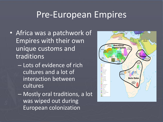### Pre-European Empires

- Africa was a patchwork of Empires with their own unique customs and traditions
	- Lots of evidence of rich cultures and a lot of interaction between cultures
	- Mostly oral traditions, a lot was wiped out during European colonization

![](_page_7_Figure_4.jpeg)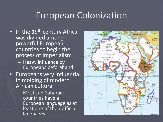### European Colonization

- In the 19<sup>th</sup> century Africa was divided among powerful European countries to begin the process of Imperialism
	- Heavy influence by Europeans beforehand
- Europeans very influential in molding of modern African culture
	- Most sub-Saharan countries have a European language as at least one of their official languages

![](_page_8_Figure_5.jpeg)